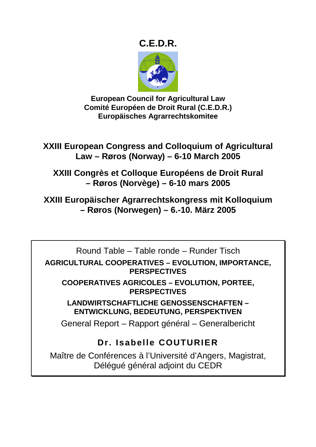## **C.E.D.R.**



**European Council for Agricultural Law Comité Européen de Droit Rural (C.E.D.R.) Europäisches Agrarrechtskomitee** 

**XXIII European Congress and Colloquium of Agricultural Law – Røros (Norway) – 6-10 March 2005** 

**XXIII Congrès et Colloque Européens de Droit Rural – Røros (Norvège) – 6-10 mars 2005** 

**XXIII Europäischer Agrarrechtskongress mit Kolloquium – Røros (Norwegen) – 6.-10. März 2005** 

Round Table – Table ronde – Runder Tisch **AGRICULTURAL COOPERATIVES – EVOLUTION, IMPORTANCE, PERSPECTIVES** 

**COOPERATIVES AGRICOLES – EVOLUTION, PORTEE, PERSPECTIVES** 

**LANDWIRTSCHAFTLICHE GENOSSENSCHAFTEN – ENTWICKLUNG, BEDEUTUNG, PERSPEKTIVEN** 

General Report – Rapport général – Generalbericht

# **Dr. Isabelle COUTURIER**

Maître de Conférences à l'Université d'Angers, Magistrat, Délégué général adjoint du CEDR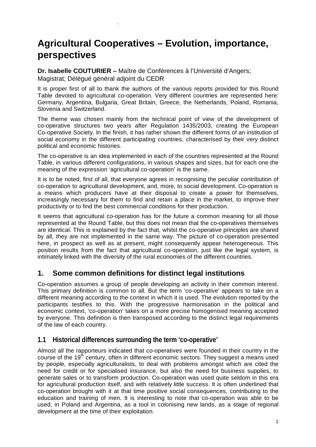# **Agricultural Cooperatives – Evolution, importance, perspectives**

**Dr. Isabelle COUTURIER –** Maître de Conférences à l'Université d'Angers; Magistrat; Délégué général adjoint du CEDR

.

It is proper first of all to thank the authors of the various reports provided for this Round Table devoted to agricultural co-operation. Very different countries are represented here: Germany, Argentina, Bulgaria, Great Britain, Greece, the Netherlands, Poland, Romania, Slovenia and Switzerland.

The theme was chosen mainly from the technical point of view of the development of co-operative structures two years after Regulation 1435/2003, creating the European Co-operative Society. In the finish, it has rather shown the different forms of an institution of social economy in the different participating countries, characterised by their very distinct political and economic histories.

The co-operative is an idea implemented in each of the countries represented at the Round Table, in various different configurations, in various shapes and sizes, but for each one the meaning of the expression 'agricultural co-operation' is the same.

It is to be noted, first of all, that everyone agrees in recognising the peculiar contribution of co-operation to agricultural development, and, more, to social development. Co-operation is a means which producers have at their disposal to create a power for themselves, increasingly necessary for them to find and retain a place in the market, to improve their productivity or to find the best commercial conditions for their production.

It seems that agricultural co-operation has for the future a common meaning for all those represented at the Round Table, but this does not mean that the co-operatives themselves are identical. This is explained by the fact that, whilst the co-operative principles are shared by all, they are not implemented in the same way. The picture of co-operation presented here, in prospect as well as at present, might consequently appear heterogeneous. This position results from the fact that agricultural co-operation, just like the legal system, is intimately linked with the diversity of the rural economies of the different countries.

## **1. Some common definitions for distinct legal institutions**

Co-operation assumes a group of people developing an activity in their common interest. This primary definition is common to all. But the term 'co-operative' appears to take on a different meaning according to the context in which it is used. The evolution reported by the participants testifies to this. With the progressive harmonisation in the political and economic context, 'co-operation' takes on a more precise homogenised meaning accepted by everyone. This definition is then transposed according to the distinct legal requirements of the law of each country.

### **1.1 Historical differences surrounding the term 'co-operative'**

Almost all the rapporteurs indicated that co-operatives were founded in their country in the course of the 19<sup>th</sup> century, often in different economic sectors. They suggest a means used by people, especially agriculturalists, to deal with problems amongst which are cited the need for credit or for specialised insurance, but also the need for business supplies, to generate sales or to transform production. Co-operation was used quite seldom in this era for agricultural production itself, and with relatively little success. It is often underlined that co-operation brought with it at that time positive social consequences, contributing to the education and training of men. It is interesting to note that co-operation was able to be used, in Poland and Argentina, as a tool in colonising new lands, as a stage of regional development at the time of their exploitation.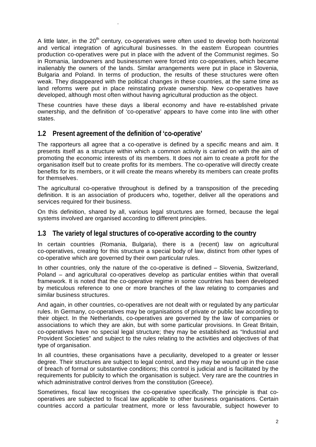A little later, in the  $20<sup>th</sup>$  century, co-operatives were often used to develop both horizontal and vertical integration of agricultural businesses. In the eastern European countries production co-operatives were put in place with the advent of the Communist regimes. So in Romania, landowners and businessmen were forced into co-operatives, which became inalienably the owners of the lands. Similar arrangements were put in place in Slovenia, Bulgaria and Poland. In terms of production, the results of these structures were often weak. They disappeared with the political changes in these countries, at the same time as land reforms were put in place reinstating private ownership. New co-operatives have developed, although most often without having agricultural production as the object.

These countries have these days a liberal economy and have re-established private ownership, and the definition of 'co-operative' appears to have come into line with other states.

#### **1.2 Present agreement of the definition of 'co-operative'**

.

The rapporteurs all agree that a co-operative is defined by a specific means and aim. It presents itself as a structure within which a common activity is carried on with the aim of promoting the economic interests of its members. It does not aim to create a profit for the organisation itself but to create profits for its members. The co-operative will directly create benefits for its members, or it will create the means whereby its members can create profits for themselves.

The agricultural co-operative throughout is defined by a transposition of the preceding definition. It is an association of producers who, together, deliver all the operations and services required for their business.

On this definition, shared by all, various legal structures are formed, because the legal systems involved are organised according to different principles.

#### **1.3 The variety of legal structures of co-operative according to the country**

In certain countries (Romania, Bulgaria), there is a (recent) law on agricultural co-operatives, creating for this structure a special body of law, distinct from other types of co-operative which are governed by their own particular rules.

In other countries, only the nature of the co-operative is defined – Slovenia, Switzerland, Poland – and agricultural co-operatives develop as particular entities within that overall framework. It is noted that the co-operative regime in some countries has been developed by meticulous reference to one or more branches of the law relating to companies and similar business structures.

And again, in other countries, co-operatives are not dealt with or regulated by any particular rules. In Germany, co-operatives may be organisations of private or public law according to their object. In the Netherlands, co-operatives are governed by the law of companies or associations to which they are akin, but with some particular provisions. In Great Britain, co-operatives have no special legal structure; they may be established as "Industrial and Provident Societies" and subject to the rules relating to the activities and objectives of that type of organisation.

In all countries, these organisations have a peculiarity, developed to a greater or lesser degree. Their structures are subject to legal control, and they may be wound up in the case of breach of formal or substantive conditions; this control is judicial and is facilitated by the requirements for publicity to which the organisation is subject. Very rare are the countries in which administrative control derives from the constitution (Greece).

Sometimes, fiscal law recognises the co-operative specifically. The principle is that cooperatives are subjected to fiscal law applicable to other business organisations. Certain countries accord a particular treatment, more or less favourable, subject however to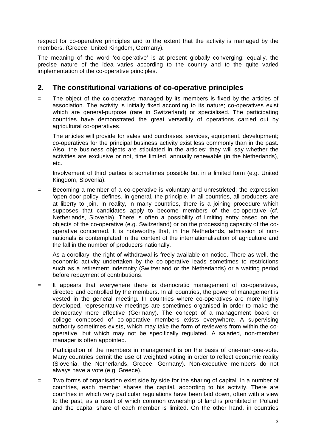respect for co-operative principles and to the extent that the activity is managed by the members. (Greece, United Kingdom, Germany).

The meaning of the word 'co-operative' is at present globally converging; equally, the precise nature of the idea varies according to the country and to the quite varied implementation of the co-operative principles.

### **2. The constitutional variations of co-operative principles**

.

= The object of the co-operative managed by its members is fixed by the articles of association. The activity is initially fixed according to its nature; co-operatives exist which are general-purpose (rare in Switzerland) or specialised. The participating countries have demonstrated the great versatility of operations carried out by agricultural co-operatives.

The articles will provide for sales and purchases, services, equipment, development; co-operatives for the principal business activity exist less commonly than in the past. Also, the business objects are stipulated in the articles; they will say whether the activities are exclusive or not, time limited, annually renewable (in the Netherlands), etc.

Involvement of third parties is sometimes possible but in a limited form (e.g. United Kingdom, Slovenia).

= Becoming a member of a co-operative is voluntary and unrestricted; the expression 'open door policy' defines, in general, the principle. In all countries, all producers are at liberty to join. In reality, in many countries, there is a joining procedure which supposes that candidates apply to become members of the co-operative (cf. Netherlands, Slovenia). There is often a possibility of limiting entry based on the objects of the co-operative (e.g. Switzerland) or on the processing capacity of the cooperative concerned. It is noteworthy that, in the Netherlands, admission of nonnationals is contemplated in the context of the internationalisation of agriculture and the fall in the number of producers nationally.

As a corollary, the right of withdrawal is freely available on notice. There as well, the economic activity undertaken by the co-operative leads sometimes to restrictions such as a retirement indemnity (Switzerland or the Netherlands) or a waiting period before repayment of contributions.

= It appears that everywhere there is democratic management of co-operatives, directed and controlled by the members. In all countries, the power of management is vested in the general meeting. In countries where co-operatives are more highly developed, representative meetings are sometimes organised in order to make the democracy more effective (Germany). The concept of a management board or college composed of co-operative members exists everywhere. A supervising authority sometimes exists, which may take the form of reviewers from within the cooperative, but which may not be specifically regulated. A salaried, non-member manager is often appointed.

Participation of the members in management is on the basis of one-man-one-vote. Many countries permit the use of weighted voting in order to reflect economic reality (Slovenia, the Netherlands, Greece, Germany). Non-executive members do not always have a vote (e.g. Greece).

= Two forms of organisation exist side by side for the sharing of capital. In a number of countries, each member shares the capital, according to his activity. There are countries in which very particular regulations have been laid down, often with a view to the past, as a result of which common ownership of land is prohibited in Poland and the capital share of each member is limited. On the other hand, in countries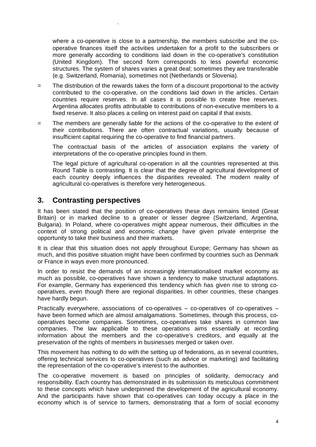where a co-operative is close to a partnership, the members subscribe and the cooperative finances itself the activities undertaken for a profit to the subscribers or more generally according to conditions laid down in the co-operative's constitution (United Kingdom). The second form corresponds to less powerful economic structures. The system of shares varies a great deal; sometimes they are transferable (e.g. Switzerland, Romania), sometimes not (Netherlands or Slovenia).

- = The distribution of the rewards takes the form of a discount proportional to the activity contributed to the co-operative, on the conditions laid down in the articles. Certain countries require reserves. In all cases it is possible to create free reserves. Argentina allocates profits attributable to contributions of non-executive members to a fixed reserve. It also places a ceiling on interest paid on capital if that exists.
- = The members are generally liable for the actions of the co-operative to the extent of their contributions. There are often contractual variations, usually because of insufficient capital requiring the co-operative to find financial partners.

The contractual basis of the articles of association explains the variety of interpretations of the co-operative principles found in them.

The legal picture of agricultural co-operation in all the countries represented at this Round Table is contrasting. It is clear that the degree of agricultural development of each country deeply influences the disparities revealed. The modern reality of agricultural co-operatives is therefore very heterogeneous.

#### **3. Contrasting perspectives**

.

It has been stated that the position of co-operatives these days remains limited (Great Britain) or in marked decline to a greater or lesser degree (Switzerland, Argentina, Bulgaria). In Poland, where co-operatives might appear numerous, their difficulties in the context of strong political and economic change have given private enterprise the opportunity to take their business and their markets.

It is clear that this situation does not apply throughout Europe; Germany has shown as much, and this positive situation might have been confirmed by countries such as Denmark or France in ways even more pronounced.

In order to resist the demands of an increasingly internationalised market economy as much as possible, co-operatives have shown a tendency to make structural adaptations. For example, Germany has experienced this tendency which has given rise to strong cooperatives, even though there are regional disparities. In other countries, these changes have hardly begun.

Practically everywhere, associations of co-operatives – co-operatives of co-operatives – have been formed which are almost amalgamations. Sometimes, through this process, cooperatives become companies. Sometimes, co-operatives take shares in common law companies. The law applicable to these operations aims essentially at recording information about the members and the co-operative's creditors, and equally at the preservation of the rights of members in businesses merged or taken over.

This movement has nothing to do with the setting up of federations, as in several countries, offering technical services to co-operatives (such as advice or marketing) and facilitating the representation of the co-operative's interest to the authorities.

The co-operative movement is based on principles of solidarity, democracy and responsibility. Each country has demonstrated in its submission its meticulous commitment to these concepts which have underpinned the development of the agricultural economy. And the participants have shown that co-operatives can today occupy a place in the economy which is of service to farmers, demonstrating that a form of social economy